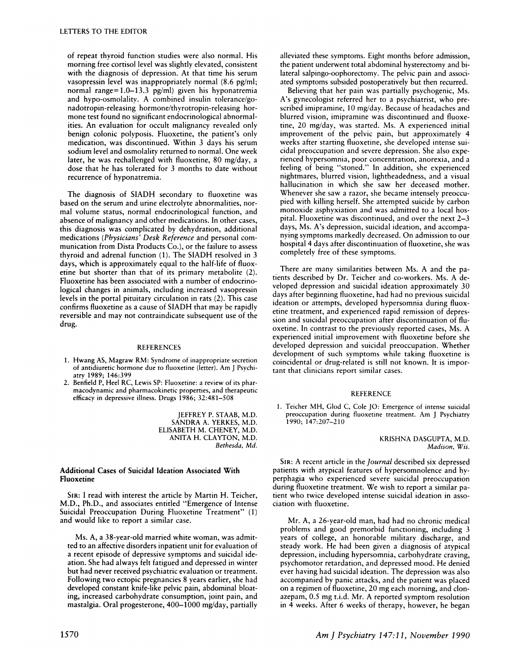of repeat thyroid function studies were also normal. His morning free cortisol level was slightly elevated, consistent with the diagnosis of depression. At that time his serum vasopressin level was inappropriately normal (8.6 pg/ml; normal range=1.0-13.3 pg/ml) given his hyponatremia and hypo-osmolality. A combined insulin tolerance/gonadotropin-releasing hormone/thyrotropin-releasing hor mone test found no significant endocrinological abnormalities. An evaluation for occult malignancy revealed only benign colonic polyposis. Fluoxetine, the patient's only medication, was discontinued. Within 3 days his serum sodium level and osmolality returned to normal. One week later, he was rechallenged with fluoxetine, 80 mg/day, a dose that he has tolerated for 3 months to date without recurrence of hyponatremia.

The diagnosis of SIADH secondary to fluoxetine was based on the serum and urine electrolyte abnormalities, nor mal volume status, normal endocrinological function, and absence of malignancy and other medications. In other cases, this diagnosis was complicated by dehydration, additional medications *(Physicians' Desk Reference* and personal corn munication from Dista Products Co.), or the failure to assess thyroid and adrenal function (1). The SIADH resolved in 3 days, which is approximately equal to the half-life of fluoxetine but shorter than that of its primary metabolite (2). Fluoxetine has been associated with a number of endocrinological changes in animals, including increased vasopressin levels in the portal pituitary circulation in rats (2). This case confirms fluoxetine as a cause of SIADH that may be rapidly reversible and may not contraindicate subsequent use of the drug.

### **REFERENCES**

- 1. Hwang AS, Magraw RM: Syndrome of inappropriate secretion of antidiuretic hormone due to fluoxetine (letter). Am J Psychi atry 1989; 146:399
- 2. Benfield P, Heel RC, Lewis SP: Fluoxetine: a review of its pharmacodynamic and pharmacokinetic properties, and therapeutic efficacy in depressive illness. Drugs 1986; 32:48 1-508

JEFFREY **P. STAAB, M.D.** SANDRA A. YERKES, M.D. ELISABETH M. CHENEY, M.D. ANITA H. CLAYTON, M.D. Bethesda, Md.

## Additional Cases of Suicidal Ideation Associated With Fluoxetine

SIR: I read with interest the article by Martin H. Teicher, **M.D., Ph.D.,** and associates entitled "Emergence of Intense Suicidal Preoccupation During Fluoxetine Treatment" (1) and would like to report a similar case.

Ms. A, a 38-year-old married white woman, was admitted to an affective disorders inpatient unit for evaluation of a recent episode of depressive symptoms and suicidal ideation. She had always felt fatigued and depressed in winter but had never received psychiatric evaluation or treatment. Following two ectopic pregnancies 8 years earlier, she had developed constant knife-like pelvic pain, abdominal bloating, increased carbohydrate consumption, joint pain, and mastalgia. Oral progesterone, 400-1000 mg/day, partially

alleviated these symptoms. Eight months before admission, the patient underwent total abdominal hysterectomy and bilateral salpingo-oophorectomy. The pelvic pain and associated symptoms subsided postoperatively but then recurred.

Believing that her pain was partially psychogenic, Ms. A's gynecologist referred her to a psychiatrist, who pre scribed imipramine, 10 mg/day. Because of headaches and blurred vision, imipramine was discontinued and fluoxetine, 20 mg/day, was started. Ms. A experienced initial improvement of the pelvic pain, but approximately 4 weeks after starting fluoxetine, she developed intense sui cidal preoccupation and severe depression. She also expe rienced hypersomnia, poor concentration, anorexia, and a feeling of being "stoned." In addition, she experienced nightmares, blurred vision, lightheadedness, and a visual hallucination in which she saw her deceased mother. Whenever she saw a razor, she became intensely preoccupied with killing herself. She attempted suicide by carbon monoxide asphyxiation and was admitted to a local hospital. Fluoxetine was discontinued, and over the next 2-3 days, Ms. A's depression, suicidal ideation, and accompa nying symptoms markedly decreased. On admission to our hospital 4 days after discontinuation of fluoxetine, she was completely free of these symptoms.

There are many similarities between Ms. A and the patients described by Dr. Teicher and co-workers. Ms. A developed depression and suicidal ideation approximately 30 days after beginning fluoxetine, had had no previous suicidal ideation or attempts, developed hypersomnia during fluox etine treatment, and experienced rapid remission of depression and suicidal preoccupation after discontinuation of fluoxetine. In contrast to the previously reported cases, Ms. A experienced initial improvement with fluoxetine before she developed depression and suicidal preoccupation. Whether development of such symptoms while taking fluoxetine is coincidental or drug-related is still not known. It is important that clinicians report similar cases.

## **REFERENCE**

1. Teicher MH, Glod C, Cole JO: Emergence of intense suicidal preoccupation during fluoxetine treatment. Am J Psychiatry **1990; 147:207-210**

### KRISHNA DASGUPTA, M.D. *Madison, Wis.*

SIR: A recent article in the *Journal* described six depressed patients with atypical features of hypersomnolence and hyperphagia who experienced severe suicidal preoccupation during fluoxetine treatment. We wish to report a similar patient who twice developed intense suicidal ideation in asso ciation with fluoxetine.

Mr. A, a 26-year-old man, had had no chronic medical problems and good premorbid functioning, including 3 years of college, an honorable military discharge, and steady work. He had been given a diagnosis of atypical depression, including hypersomnia, carbohydrate craving, psychomotor retardation, and depressed mood. He denied ever having had suicidal ideation. The depression was also accompanied by panic attacks, and the patient was placed on a regimen of fluoxetine, 20 mg each morning, and clonazepam, 0.5 mg t.i.d. Mr. A reported symptom resolution in 4 weeks. After 6 weeks of therapy, however, he began